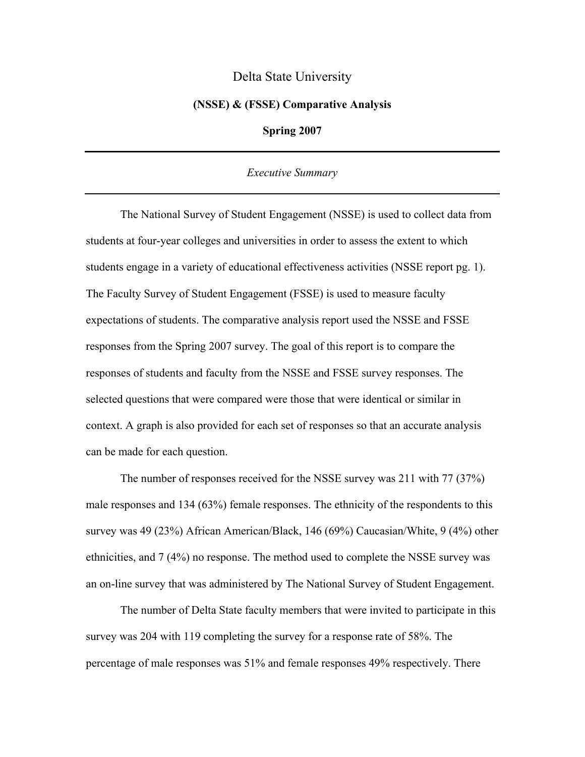## Delta State University

## **(NSSE) & (FSSE) Comparative Analysis**

**Spring 2007** 

## *Executive Summary*

 The National Survey of Student Engagement (NSSE) is used to collect data from students at four-year colleges and universities in order to assess the extent to which students engage in a variety of educational effectiveness activities (NSSE report pg. 1). The Faculty Survey of Student Engagement (FSSE) is used to measure faculty expectations of students. The comparative analysis report used the NSSE and FSSE responses from the Spring 2007 survey. The goal of this report is to compare the responses of students and faculty from the NSSE and FSSE survey responses. The selected questions that were compared were those that were identical or similar in context. A graph is also provided for each set of responses so that an accurate analysis can be made for each question.

 The number of responses received for the NSSE survey was 211 with 77 (37%) male responses and 134 (63%) female responses. The ethnicity of the respondents to this survey was 49 (23%) African American/Black, 146 (69%) Caucasian/White, 9 (4%) other ethnicities, and 7 (4%) no response. The method used to complete the NSSE survey was an on-line survey that was administered by The National Survey of Student Engagement.

 The number of Delta State faculty members that were invited to participate in this survey was 204 with 119 completing the survey for a response rate of 58%. The percentage of male responses was 51% and female responses 49% respectively. There